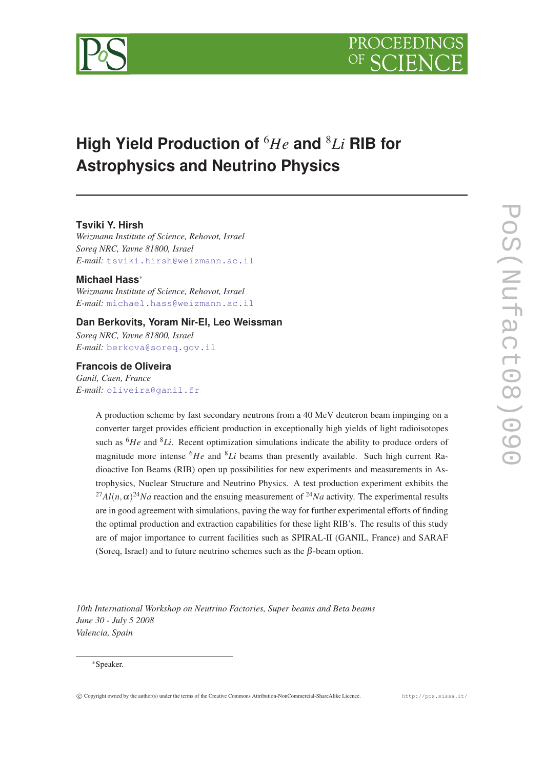

# **High Yield Production of** <sup>6</sup>*He* **and** <sup>8</sup>*Li* **RIB for Astrophysics and Neutrino Physics**

## **Tsviki Y. Hirsh**

*Weizmann Institute of Science, Rehovot, Israel Soreq NRC, Yavne 81800, Israel E-mail:* [tsviki.hirsh@weizmann.ac.il](mailto:tsviki.hirsh@weizmann.ac.il)

## **Michael Hass**<sup>∗</sup>

*Weizmann Institute of Science, Rehovot, Israel E-mail:* [michael.hass@weizmann.ac.il](mailto:michael.hass@weizmann.ac.il)

## **Dan Berkovits, Yoram Nir-El, Leo Weissman**

*Soreq NRC, Yavne 81800, Israel E-mail:* [berkova@soreq.gov.il](mailto:berkova@soreq.gov.il)

### **Francois de Oliveira**

*Ganil, Caen, France E-mail:* [oliveira@ganil.fr](mailto:oliveira@ganil.fr)

> A production scheme by fast secondary neutrons from a 40 MeV deuteron beam impinging on a converter target provides efficient production in exceptionally high yields of light radioisotopes such as <sup>6</sup>*He* and <sup>8</sup>*Li*. Recent optimization simulations indicate the ability to produce orders of magnitude more intense  ${}^{6}He$  and  ${}^{8}Li$  beams than presently available. Such high current Radioactive Ion Beams (RIB) open up possibilities for new experiments and measurements in Astrophysics, Nuclear Structure and Neutrino Physics. A test production experiment exhibits the  $^{27}Al(n,\alpha)^{24}Na$  reaction and the ensuing measurement of  $^{24}Na$  activity. The experimental results are in good agreement with simulations, paving the way for further experimental efforts of finding the optimal production and extraction capabilities for these light RIB's. The results of this study are of major importance to current facilities such as SPIRAL-II (GANIL, France) and SARAF (Soreq, Israel) and to future neutrino schemes such as the  $\beta$ -beam option.

*10th International Workshop on Neutrino Factories, Super beams and Beta beams June 30 - July 5 2008 Valencia, Spain*

#### <sup>∗</sup>Speaker.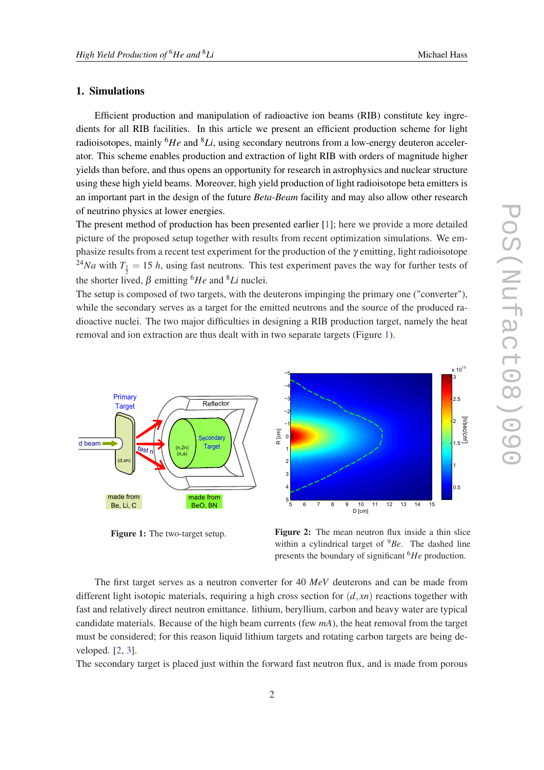## <span id="page-1-0"></span>1. Simulations

Efficient production and manipulation of radioactive ion beams (RIB) constitute key ingredients for all RIB facilities. In this article we present an efficient production scheme for light radioisotopes, mainly  ${}^{6}He$  and  ${}^{8}Li$ , using secondary neutrons from a low-energy deuteron accelerator. This scheme enables production and extraction of light RIB with orders of magnitude higher yields than before, and thus opens an opportunity for research in astrophysics and nuclear structure using these high yield beams. Moreover, high yield production of light radioisotope beta emitters is an important part in the design of the future *Beta-Beam* facility and may also allow other research of neutrino physics at lower energies.

The present method of production has been presented earlier [[1](#page-4-0)]; here we provide a more detailed picture of the proposed setup together with results from recent optimization simulations. We emphasize results from a recent test experiment for the production of the  $\gamma$  emitting, light radioisotope <sup>24</sup>*Na* with  $T_{\frac{1}{2}} = 15$  *h*, using fast neutrons. This test experiment paves the way for further tests of the shorter lived, β emitting  ${}^6He$  and  ${}^8Li$  nuclei.

The setup is composed of two targets, with the deuterons impinging the primary one ("converter"), while the secondary serves as a target for the emitted neutrons and the source of the produced radioactive nuclei. The two major difficulties in designing a RIB production target, namely the heat removal and ion extraction are thus dealt with in two separate targets (Figure 1).



Figure 1: The two-target setup.



Figure 2: The mean neutron flux inside a thin slice within a cylindrical target of <sup>9</sup>*Be*. The dashed line presents the boundary of significant <sup>6</sup>*He* production.

The first target serves as a neutron converter for 40 *MeV* deuterons and can be made from different light isotopic materials, requiring a high cross section for (*d*,*xn*) reactions together with fast and relatively direct neutron emittance. lithium, beryllium, carbon and heavy water are typical candidate materials. Because of the high beam currents (few *mA*), the heat removal from the target must be considered; for this reason liquid lithium targets and rotating carbon targets are being developed. [\[2,](#page-4-0) [3\]](#page-4-0).

The secondary target is placed just within the forward fast neutron flux, and is made from porous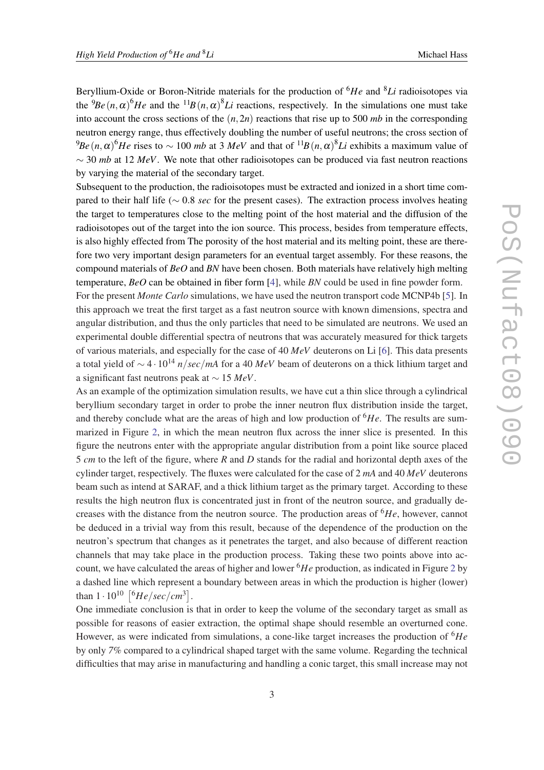Beryllium-Oxide or Boron-Nitride materials for the production of <sup>6</sup>*He* and <sup>8</sup>*Li* radioisotopes via the  ${}^{9}Be(n,\alpha){}^{6}He$  and the  ${}^{11}B(n,\alpha){}^{8}Li$  reactions, respectively. In the simulations one must take into account the cross sections of the  $(n, 2n)$  reactions that rise up to 500 *mb* in the corresponding neutron energy range, thus effectively doubling the number of useful neutrons; the cross section of  $^{9}Be(n,\alpha)^{6}He$  rises to  $\sim 100$  *mb* at 3 *MeV* and that of  $^{11}B(n,\alpha)^{8}Li$  exhibits a maximum value of ∼ 30 *mb* at 12 *MeV*. We note that other radioisotopes can be produced via fast neutron reactions by varying the material of the secondary target.

Subsequent to the production, the radioisotopes must be extracted and ionized in a short time compared to their half life (∼ 0.8 *sec* for the present cases). The extraction process involves heating the target to temperatures close to the melting point of the host material and the diffusion of the radioisotopes out of the target into the ion source. This process, besides from temperature effects, is also highly effected from The porosity of the host material and its melting point, these are therefore two very important design parameters for an eventual target assembly. For these reasons, the compound materials of *BeO* and *BN* have been chosen. Both materials have relatively high melting temperature, *BeO* can be obtained in fiber form [[4](#page-4-0)], while *BN* could be used in fine powder form.

For the present *Monte Carlo* simulations, we have used the neutron transport code MCNP4b [[5](#page-4-0)]. In this approach we treat the first target as a fast neutron source with known dimensions, spectra and angular distribution, and thus the only particles that need to be simulated are neutrons. We used an experimental double differential spectra of neutrons that was accurately measured for thick targets of various materials, and especially for the case of 40 *MeV* deuterons on Li [[6](#page-4-0)]. This data presents a total yield of ∼ 4 · 10<sup>14</sup> *n*/*sec*/*mA* for a 40 *MeV* beam of deuterons on a thick lithium target and a significant fast neutrons peak at ∼ 15 *MeV*.

As an example of the optimization simulation results, we have cut a thin slice through a cylindrical beryllium secondary target in order to probe the inner neutron flux distribution inside the target, and thereby conclude what are the areas of high and low production of <sup>6</sup>He. The results are summarized in Figure [2](#page-1-0), in which the mean neutron flux across the inner slice is presented. In this figure the neutrons enter with the appropriate angular distribution from a point like source placed 5 *cm* to the left of the figure, where *R* and *D* stands for the radial and horizontal depth axes of the cylinder target, respectively. The fluxes were calculated for the case of 2 *mA* and 40 *MeV* deuterons beam such as intend at SARAF, and a thick lithium target as the primary target. According to these results the high neutron flux is concentrated just in front of the neutron source, and gradually decreases with the distance from the neutron source. The production areas of <sup>6</sup>*He*, however, cannot be deduced in a trivial way from this result, because of the dependence of the production on the neutron's spectrum that changes as it penetrates the target, and also because of different reaction channels that may take place in the production process. Taking these two points above into account, we have calculated the areas of higher and lower <sup>6</sup>*He* production, as indicated in Figure [2](#page-1-0) by a dashed line which represent a boundary between areas in which the production is higher (lower) than  $1 \cdot 10^{10}$   $[6He/sec/cm^3]$ .

One immediate conclusion is that in order to keep the volume of the secondary target as small as possible for reasons of easier extraction, the optimal shape should resemble an overturned cone. However, as were indicated from simulations, a cone-like target increases the production of <sup>6</sup>*He* by only *7%* compared to a cylindrical shaped target with the same volume. Regarding the technical difficulties that may arise in manufacturing and handling a conic target, this small increase may not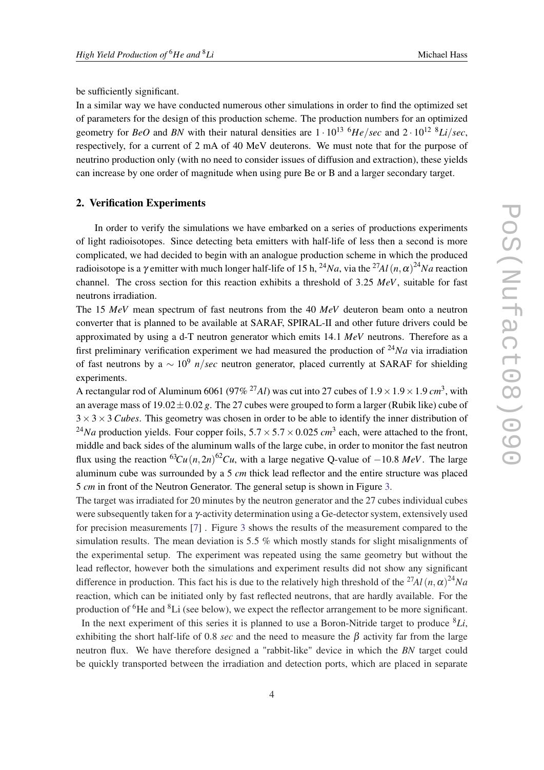be sufficiently significant.

In a similar way we have conducted numerous other simulations in order to find the optimized set of parameters for the design of this production scheme. The production numbers for an optimized geometry for *BeO* and *BN* with their natural densities are  $1 \cdot 10^{13}$  <sup>6</sup>*He*/*sec* and  $2 \cdot 10^{12}$  <sup>8</sup>*Li*/*sec*, respectively, for a current of 2 mA of 40 MeV deuterons. We must note that for the purpose of neutrino production only (with no need to consider issues of diffusion and extraction), these yields can increase by one order of magnitude when using pure Be or B and a larger secondary target.

#### 2. Verification Experiments

In order to verify the simulations we have embarked on a series of productions experiments of light radioisotopes. Since detecting beta emitters with half-life of less then a second is more complicated, we had decided to begin with an analogue production scheme in which the produced radioisotope is a  $\gamma$  emitter with much longer half-life of 15 h, <sup>24</sup>*Na*, via the <sup>27</sup>Al (*n*,  $\alpha$ )<sup>24</sup>*Na* reaction channel. The cross section for this reaction exhibits a threshold of 3.25 *MeV*, suitable for fast neutrons irradiation.

The 15 *MeV* mean spectrum of fast neutrons from the 40 *MeV* deuteron beam onto a neutron converter that is planned to be available at SARAF, SPIRAL-II and other future drivers could be approximated by using a d-T neutron generator which emits 14.1 *MeV* neutrons. Therefore as a first preliminary verification experiment we had measured the production of  $24Na$  via irradiation of fast neutrons by a ∼ 10<sup>9</sup> *n*/*sec* neutron generator, placed currently at SARAF for shielding experiments.

A rectangular rod of Aluminum 6061 (97% <sup>27</sup>Al) was cut into 27 cubes of  $1.9 \times 1.9 \times 1.9$  *cm*<sup>3</sup>, with an average mass of  $19.02 \pm 0.02$  g. The 27 cubes were grouped to form a larger (Rubik like) cube of  $3 \times 3 \times 3$  *Cubes*. This geometry was chosen in order to be able to identify the inner distribution of <sup>24</sup>Na production yields. Four copper foils,  $5.7 \times 5.7 \times 0.025$  *cm*<sup>3</sup> each, were attached to the front, middle and back sides of the aluminum walls of the large cube, in order to monitor the fast neutron flux using the reaction  ${}^{63}Cu(n,2n){}^{62}Cu$ , with a large negative Q-value of  $-10.8$  *MeV*. The large aluminum cube was surrounded by a 5 *cm* thick lead reflector and the entire structure was placed 5 *cm* in front of the Neutron Generator. The general setup is shown in Figure [3.](#page-4-0)

The target was irradiated for 20 minutes by the neutron generator and the 27 cubes individual cubes were subsequently taken for a γ-activity determination using a Ge-detector system, extensively used for precision measurements [[7](#page-4-0)] . Figure [3](#page-4-0) shows the results of the measurement compared to the simulation results. The mean deviation is 5.5 % which mostly stands for slight misalignments of the experimental setup. The experiment was repeated using the same geometry but without the lead reflector, however both the simulations and experiment results did not show any significant difference in production. This fact his is due to the relatively high threshold of the <sup>27</sup>*Al*( $n, \alpha$ )<sup>24</sup>*Na* reaction, which can be initiated only by fast reflected neutrons, that are hardly available. For the production of  ${}^{6}$ He and  ${}^{8}$ Li (see below), we expect the reflector arrangement to be more significant.

In the next experiment of this series it is planned to use a Boron-Nitride target to produce <sup>8</sup>*Li*, exhibiting the short half-life of 0.8 *sec* and the need to measure the  $\beta$  activity far from the large neutron flux. We have therefore designed a "rabbit-like" device in which the *BN* target could be quickly transported between the irradiation and detection ports, which are placed in separate